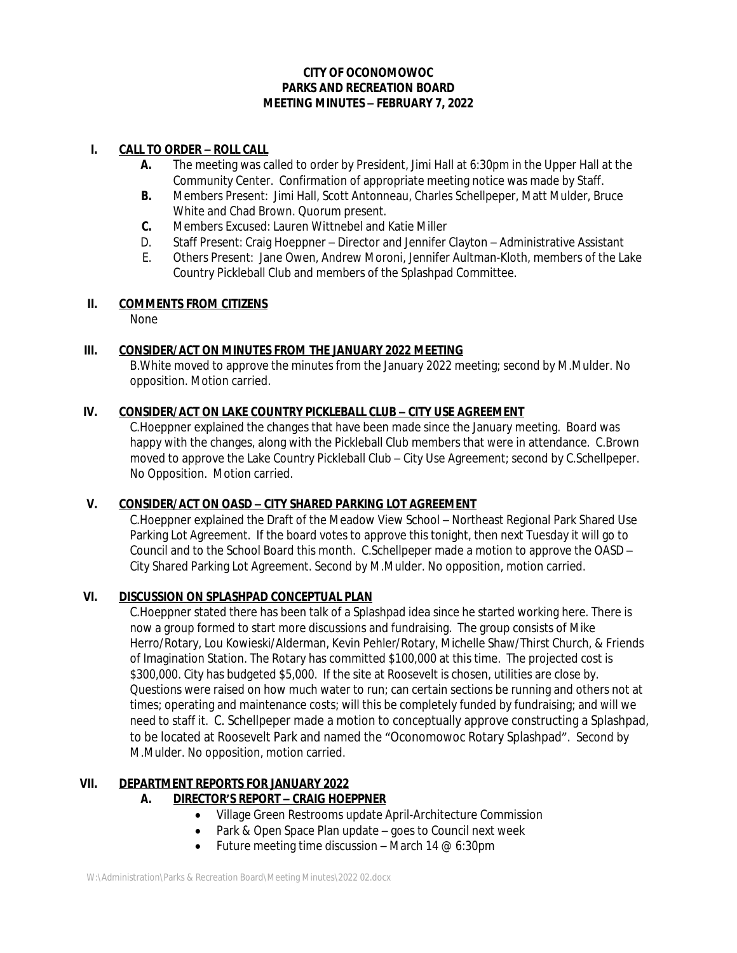# **CITY OF OCONOMOWOC PARKS AND RECREATION BOARD MEETING MINUTES – FEBRUARY 7, 2022**

## **I. CALL TO ORDER – ROLL CALL**

- **A.** The meeting was called to order by President, Jimi Hall at 6:30pm in the Upper Hall at the Community Center. Confirmation of appropriate meeting notice was made by Staff.
- **B.** Members Present: Jimi Hall, Scott Antonneau, Charles Schellpeper, Matt Mulder, Bruce White and Chad Brown. Quorum present.
- **C.** Members Excused: Lauren Wittnebel and Katie Miller
- D. Staff Present: Craig Hoeppner Director and Jennifer Clayton Administrative Assistant
- E. Others Present: Jane Owen, Andrew Moroni, Jennifer Aultman-Kloth, members of the Lake Country Pickleball Club and members of the Splashpad Committee.

#### **II. COMMENTS FROM CITIZENS**

None

# **III. CONSIDER/ACT ON MINUTES FROM THE JANUARY 2022 MEETING**

B.White moved to approve the minutes from the January 2022 meeting; second by M.Mulder. No opposition. Motion carried.

#### **IV. CONSIDER/ACT ON LAKE COUNTRY PICKLEBALL CLUB – CITY USE AGREEMENT**

C.Hoeppner explained the changes that have been made since the January meeting. Board was happy with the changes, along with the Pickleball Club members that were in attendance. C.Brown moved to approve the Lake Country Pickleball Club – City Use Agreement; second by C.Schellpeper. No Opposition. Motion carried.

# **V. CONSIDER/ACT ON OASD – CITY SHARED PARKING LOT AGREEMENT**

C.Hoeppner explained the Draft of the Meadow View School – Northeast Regional Park Shared Use Parking Lot Agreement. If the board votes to approve this tonight, then next Tuesday it will go to Council and to the School Board this month. C.Schellpeper made a motion to approve the OASD – City Shared Parking Lot Agreement. Second by M.Mulder. No opposition, motion carried.

## **VI. DISCUSSION ON SPLASHPAD CONCEPTUAL PLAN**

C.Hoeppner stated there has been talk of a Splashpad idea since he started working here. There is now a group formed to start more discussions and fundraising. The group consists of Mike Herro/Rotary, Lou Kowieski/Alderman, Kevin Pehler/Rotary, Michelle Shaw/Thirst Church, & Friends of Imagination Station. The Rotary has committed \$100,000 at this time. The projected cost is \$300,000. City has budgeted \$5,000. If the site at Roosevelt is chosen, utilities are close by. Questions were raised on how much water to run; can certain sections be running and others not at times; operating and maintenance costs; will this be completely funded by fundraising; and will we need to staff it. C. Schellpeper made a motion to conceptually approve constructing a Splashpad, to be located at Roosevelt Park and named the "Oconomowoc Rotary Splashpad". Second by M.Mulder. No opposition, motion carried.

# **VII. DEPARTMENT REPORTS FOR JANUARY 2022**

# **A. DIRECTOR'S REPORT – CRAIG HOEPPNER**

- Village Green Restrooms update April-Architecture Commission
- Park & Open Space Plan update goes to Council next week
- Future meeting time discussion March 14  $@$  6:30pm